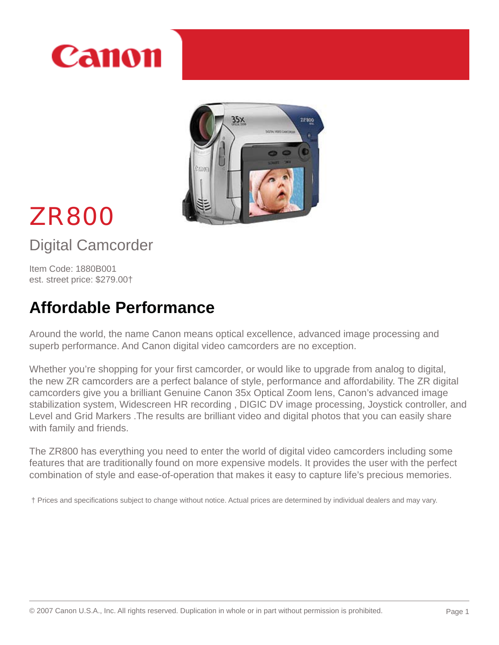



# ZR800

Digital Camcorder

Item Code: 1880B001 est. street price: \$279.00†

# **Affordable Performance**

Around the world, the name Canon means optical excellence, advanced image processing and superb performance. And Canon digital video camcorders are no exception.

Whether you're shopping for your first camcorder, or would like to upgrade from analog to digital, the new ZR camcorders are a perfect balance of style, performance and affordability. The ZR digital camcorders give you a brilliant Genuine Canon 35x Optical Zoom lens, Canon's advanced image stabilization system, Widescreen HR recording , DIGIC DV image processing, Joystick controller, and Level and Grid Markers .The results are brilliant video and digital photos that you can easily share with family and friends.

The ZR800 has everything you need to enter the world of digital video camcorders including some features that are traditionally found on more expensive models. It provides the user with the perfect combination of style and ease-of-operation that makes it easy to capture life's precious memories.

 $\dagger$  Prices and specifications subject to change without notice. Actual prices are determined by individual dealers and may vary.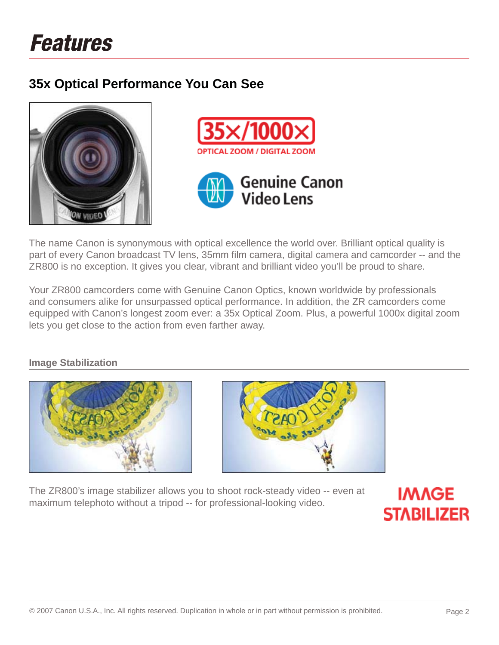# **35x Optical Performance You Can See**







The name Canon is synonymous with optical excellence the world over. Brilliant optical quality is part of every Canon broadcast TV lens, 35mm film camera, digital camera and camcorder -- and the ZR800 is no exception. It gives you clear, vibrant and brilliant video you'll be proud to share.

Your ZR800 camcorders come with Genuine Canon Optics, known worldwide by professionals and consumers alike for unsurpassed optical performance. In addition, the ZR camcorders come equipped with Canon's longest zoom ever: a 35x Optical Zoom. Plus, a powerful 1000x digital zoom lets you get close to the action from even farther away.

**Image Stabilization**





The ZR800's image stabilizer allows you to shoot rock-steady video -- even at maximum telephoto without a tripod -- for professional-looking video.

**IMAGE STABILIZER**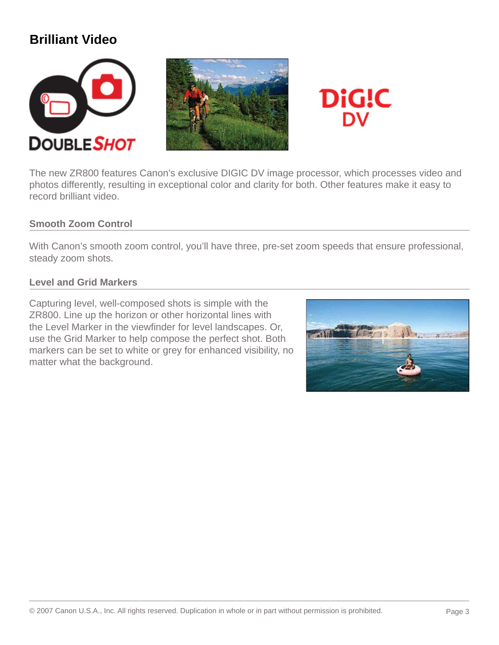### **Brilliant Video**







The new ZR800 features Canon's exclusive DIGIC DV image processor, which processes video and photos differently, resulting in exceptional color and clarity for both. Other features make it easy to record brilliant video.

#### **Smooth Zoom Control**

With Canon's smooth zoom control, you'll have three, pre-set zoom speeds that ensure professional, steady zoom shots.

#### **Level and Grid Markers**

Capturing level, well-composed shots is simple with the ZR800. Line up the horizon or other horizontal lines with the Level Marker in the viewfinder for level landscapes. Or, use the Grid Marker to help compose the perfect shot. Both markers can be set to white or grey for enhanced visibility, no matter what the background.

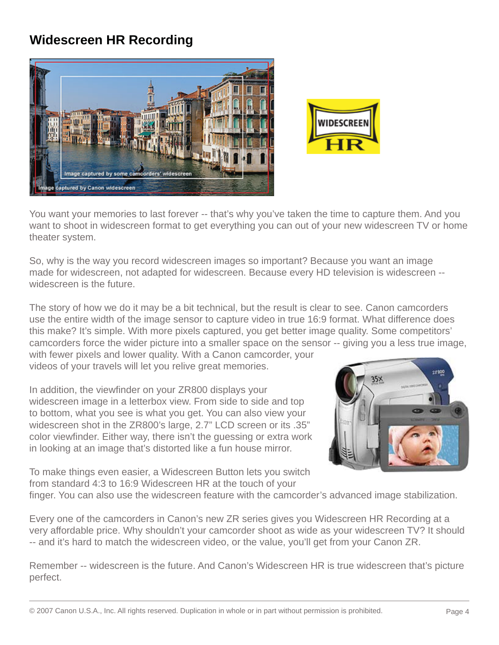# **Widescreen HR Recording**





You want your memories to last forever -- that's why you've taken the time to capture them. And you want to shoot in widescreen format to get everything you can out of your new widescreen TV or home theater system.

So, why is the way you record widescreen images so important? Because you want an image made for widescreen, not adapted for widescreen. Because every HD television is widescreen - widescreen is the future.

The story of how we do it may be a bit technical, but the result is clear to see. Canon camcorders use the entire width of the image sensor to capture video in true 16:9 format. What difference does this make? It's simple. With more pixels captured, you get better image quality. Some competitors' camcorders force the wider picture into a smaller space on the sensor -- giving you a less true image,

with fewer pixels and lower quality. With a Canon camcorder, your videos of your travels will let you relive great memories.

In addition, the viewfinder on your ZR800 displays your widescreen image in a letterbox view. From side to side and top to bottom, what you see is what you get. You can also view your widescreen shot in the ZR800's large, 2.7" LCD screen or its .35" color viewfinder. Either way, there isn't the guessing or extra work in looking at an image that's distorted like a fun house mirror.

To make things even easier, a Widescreen Button lets you switch from standard 4:3 to 16:9 Widescreen HR at the touch of your



finger. You can also use the widescreen feature with the camcorder's advanced image stabilization.

Every one of the camcorders in Canon's new ZR series gives you Widescreen HR Recording at a very affordable price. Why shouldn't your camcorder shoot as wide as your widescreen TV? It should -- and it's hard to match the widescreen video, or the value, you'll get from your Canon ZR.

Remember -- widescreen is the future. And Canon's Widescreen HR is true widescreen that's picture perfect.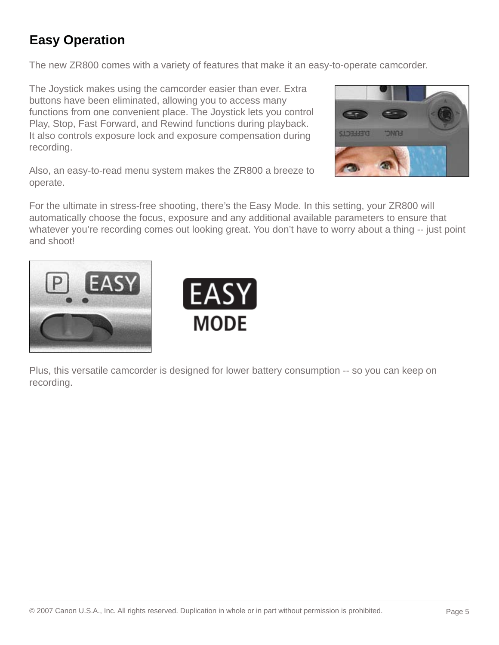# **Easy Operation**

The new ZR800 comes with a variety of features that make it an easy-to-operate camcorder.

The Joystick makes using the camcorder easier than ever. Extra buttons have been eliminated, allowing you to access many functions from one convenient place. The Joystick lets you control Play, Stop, Fast Forward, and Rewind functions during playback. It also controls exposure lock and exposure compensation during recording.



Also, an easy-to-read menu system makes the ZR800 a breeze to operate.

For the ultimate in stress-free shooting, there's the Easy Mode. In this setting, your ZR800 will automatically choose the focus, exposure and any additional available parameters to ensure that whatever you're recording comes out looking great. You don't have to worry about a thing -- just point and shoot!





Plus, this versatile camcorder is designed for lower battery consumption -- so you can keep on recording.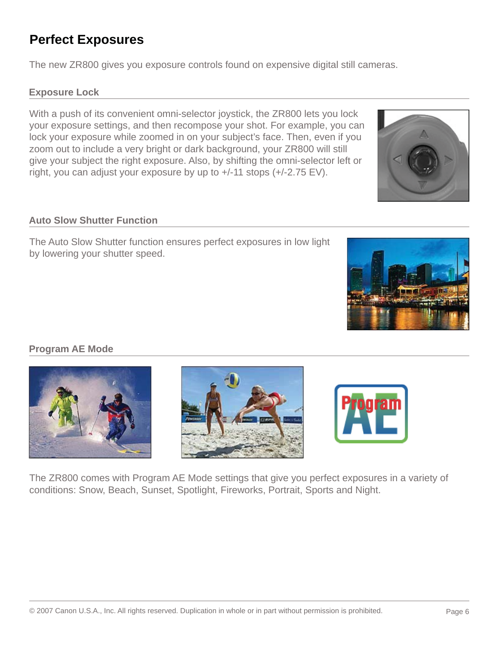# **Perfect Exposures**

The new ZR800 gives you exposure controls found on expensive digital still cameras.

#### **Exposure Lock**

With a push of its convenient omni-selector joystick, the ZR800 lets you lock your exposure settings, and then recompose your shot. For example, you can lock your exposure while zoomed in on your subject's face. Then, even if you zoom out to include a very bright or dark background, your ZR800 will still give your subject the right exposure. Also, by shifting the omni-selector left or right, you can adjust your exposure by up to +/-11 stops (+/-2.75 EV).

#### **Auto Slow Shutter Function**

The Auto Slow Shutter function ensures perfect exposures in low light by lowering your shutter speed.

### **Program AE Mode**

The ZR800 comes with Program AE Mode settings that give you perfect exposures in a variety of conditions: Snow, Beach, Sunset, Spotlight, Fireworks, Portrait, Sports and Night.





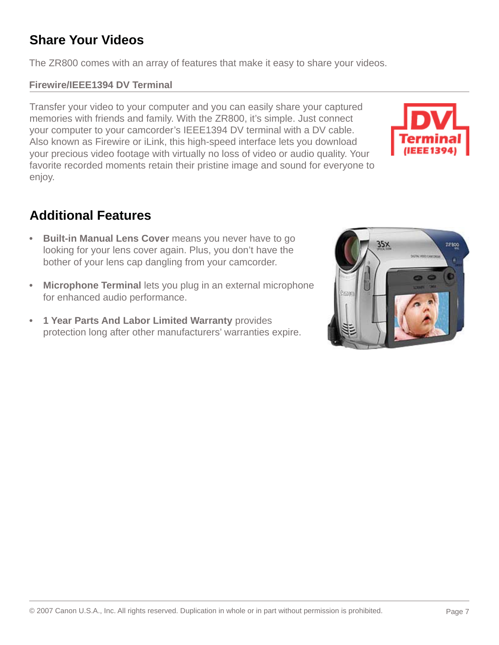# **Share Your Videos**

The ZR800 comes with an array of features that make it easy to share your videos.

### **Firewire/IEEE1394 DV Terminal**

Transfer your video to your computer and you can easily share your captured memories with friends and family. With the ZR800, it's simple. Just connect your computer to your camcorder's IEEE1394 DV terminal with a DV cable. Also known as Firewire or iLink, this high-speed interface lets you download your precious video footage with virtually no loss of video or audio quality. Your favorite recorded moments retain their pristine image and sound for everyone to enjoy.

### **Additional Features**

- **Built-in Manual Lens Cover** means you never have to go looking for your lens cover again. Plus, you don't have the bother of your lens cap dangling from your camcorder.
- **Microphone Terminal** lets you plug in an external microphone for enhanced audio performance.
- **1 Year Parts And Labor Limited Warranty** provides protection long after other manufacturers' warranties expire.

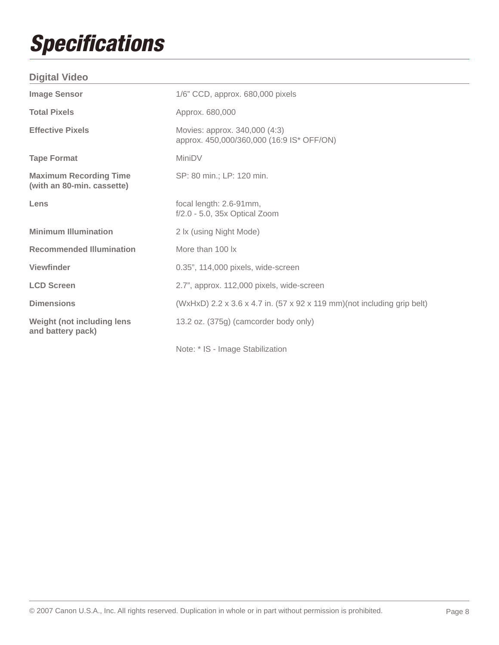# *Specifi cations*

### **Digital Video**

| <b>Image Sensor</b>                                         | 1/6" CCD, approx. 680,000 pixels                                           |
|-------------------------------------------------------------|----------------------------------------------------------------------------|
| <b>Total Pixels</b>                                         | Approx. 680,000                                                            |
| <b>Effective Pixels</b>                                     | Movies: approx. 340,000 (4:3)<br>approx. 450,000/360,000 (16:9 IS* OFF/ON) |
| <b>Tape Format</b>                                          | MiniDV                                                                     |
| <b>Maximum Recording Time</b><br>(with an 80-min. cassette) | SP: 80 min.; LP: 120 min.                                                  |
| Lens                                                        | focal length: 2.6-91mm,<br>f/2.0 - 5.0, 35x Optical Zoom                   |
| <b>Minimum Illumination</b>                                 | 2 lx (using Night Mode)                                                    |
| <b>Recommended Illumination</b>                             | More than 100 lx                                                           |
| <b>Viewfinder</b>                                           | 0.35", 114,000 pixels, wide-screen                                         |
| <b>LCD Screen</b>                                           | 2.7", approx. 112,000 pixels, wide-screen                                  |
| <b>Dimensions</b>                                           | (WxHxD) 2.2 x 3.6 x 4.7 in. (57 x 92 x 119 mm)(not including grip belt)    |
| <b>Weight (not including lens)</b><br>and battery pack)     | 13.2 oz. (375g) (camcorder body only)                                      |
|                                                             | Note: * IS - Image Stabilization                                           |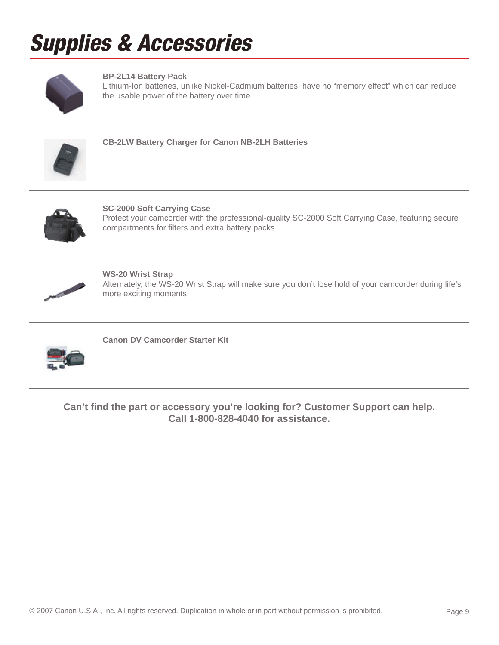# *Supplies & Accessories*



#### **BP-2L14 Battery Pack**

Lithium-Ion batteries, unlike Nickel-Cadmium batteries, have no "memory effect" which can reduce the usable power of the battery over time.



**CB-2LW Battery Charger for Canon NB-2LH Batteries**



**SC-2000 Soft Carrying Case** Protect your camcorder with the professional-quality SC-2000 Soft Carrying Case, featuring secure compartments for filters and extra battery packs.



**WS-20 Wrist Strap** Alternately, the WS-20 Wrist Strap will make sure you don't lose hold of your camcorder during life's more exciting moments.



**Canon DV Camcorder Starter Kit**

**Can't fi nd the part or accessory you're looking for? Customer Support can help. Call 1-800-828-4040 for assistance.**